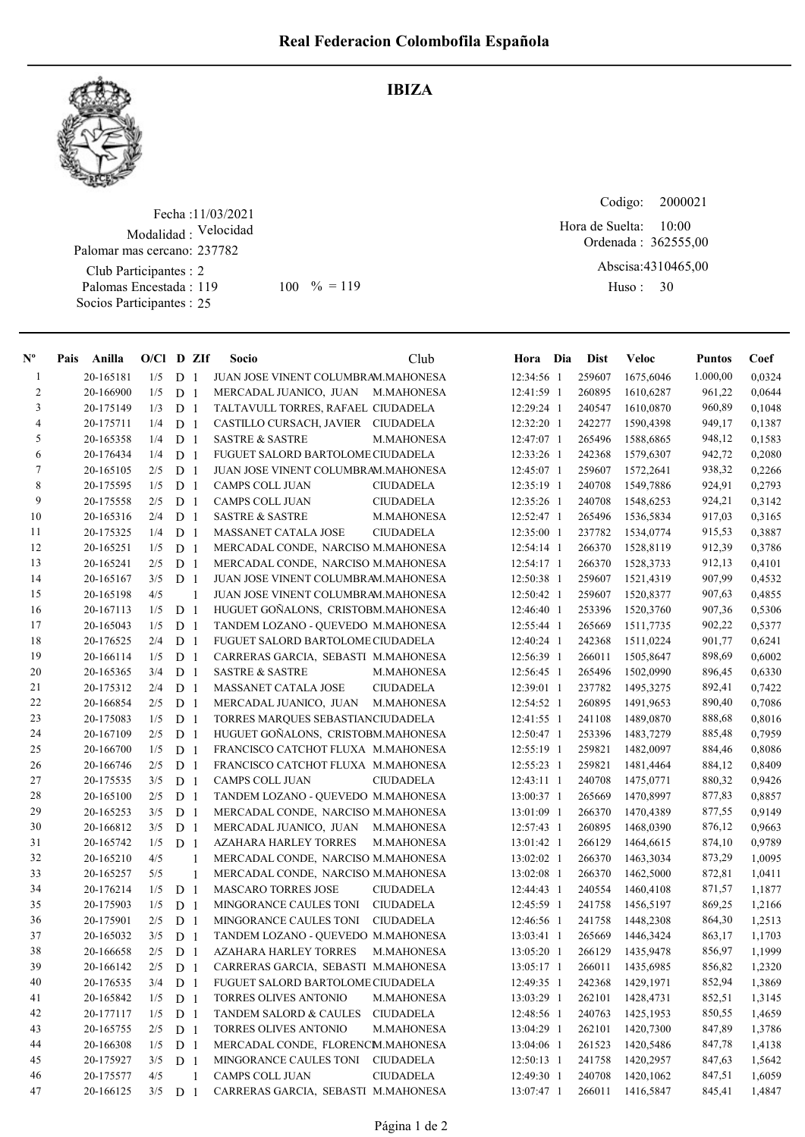IBIZA



## Fecha : 11/03/2021 Modalidad : Velocidad Club Participantes : 2 Palomar mas cercano: 237782

Palomas Encestada : Socios Participantes : 25

119 100 % = 119 Huso: 30

Codigo: 

Ordenada : 362555,00 Hora de Suelta: 10:00

Abscisa: 4310465,00

Huso: 30

| $N^{\circ}$    | Pais | Anilla    | $O/Cl$ D ZIf |                |                | Socio                               | Club              | Hora Dia     | <b>Dist</b> | <b>Veloc</b> | Puntos   | Coef   |
|----------------|------|-----------|--------------|----------------|----------------|-------------------------------------|-------------------|--------------|-------------|--------------|----------|--------|
| 1              |      | 20-165181 | 1/5          | D <sub>1</sub> |                | JUAN JOSE VINENT COLUMBRAM.MAHONESA |                   | 12:34:56 1   | 259607      | 1675,6046    | 1.000,00 | 0,0324 |
| $\overline{c}$ |      | 20-166900 | 1/5          | D <sub>1</sub> |                | MERCADAL JUANICO, JUAN              | M.MAHONESA        | 12:41:59 1   | 260895      | 1610,6287    | 961,22   | 0,0644 |
| 3              |      | 20-175149 | 1/3          | D <sub>1</sub> |                | TALTAVULL TORRES, RAFAEL CIUDADELA  |                   | 12:29:24 1   | 240547      | 1610,0870    | 960,89   | 0,1048 |
| 4              |      | 20-175711 | 1/4          | D <sub>1</sub> |                | CASTILLO CURSACH, JAVIER            | <b>CIUDADELA</b>  | 12:32:20 1   | 242277      | 1590,4398    | 949,17   | 0,1387 |
| 5              |      | 20-165358 | 1/4          | D <sub>1</sub> |                | <b>SASTRE &amp; SASTRE</b>          | M.MAHONESA        | 12:47:07 1   | 265496      | 1588,6865    | 948,12   | 0,1583 |
| 6              |      | 20-176434 | 1/4          | D <sub>1</sub> |                | FUGUET SALORD BARTOLOME CIUDADELA   |                   | 12:33:26 1   | 242368      | 1579,6307    | 942,72   | 0,2080 |
| 7              |      | 20-165105 | 2/5          | D <sub>1</sub> |                | JUAN JOSE VINENT COLUMBRAM.MAHONESA |                   | 12:45:07 1   | 259607      | 1572,2641    | 938,32   | 0,2266 |
| $\,8\,$        |      | 20-175595 | 1/5          | D <sub>1</sub> |                | CAMPS COLL JUAN                     | <b>CIUDADELA</b>  | 12:35:19 1   | 240708      | 1549,7886    | 924,91   | 0,2793 |
| 9              |      | 20-175558 | 2/5          | D <sub>1</sub> |                | CAMPS COLL JUAN                     | <b>CIUDADELA</b>  | 12:35:26 1   | 240708      | 1548,6253    | 924,21   | 0,3142 |
| 10             |      | 20-165316 | 2/4          | D <sub>1</sub> |                | <b>SASTRE &amp; SASTRE</b>          | M.MAHONESA        | 12:52:47 1   | 265496      | 1536,5834    | 917,03   | 0,3165 |
| 11             |      | 20-175325 | 1/4          | D <sub>1</sub> |                | MASSANET CATALA JOSE                | <b>CIUDADELA</b>  | 12:35:00 1   | 237782      | 1534,0774    | 915,53   | 0,3887 |
| 12             |      | 20-165251 | 1/5          | D <sub>1</sub> |                | MERCADAL CONDE, NARCISO M.MAHONESA  |                   | 12:54:14 1   | 266370      | 1528,8119    | 912,39   | 0,3786 |
| 13             |      | 20-165241 | 2/5          | D <sub>1</sub> |                | MERCADAL CONDE, NARCISO M.MAHONESA  |                   | $12:54:17$ 1 | 266370      | 1528,3733    | 912,13   | 0,4101 |
| 14             |      | 20-165167 | 3/5          | D <sub>1</sub> |                | JUAN JOSE VINENT COLUMBRAM.MAHONESA |                   | 12:50:38 1   | 259607      | 1521,4319    | 907,99   | 0,4532 |
| 15             |      | 20-165198 | 4/5          |                | 1              | JUAN JOSE VINENT COLUMBRAM.MAHONESA |                   | 12:50:42 1   | 259607      | 1520,8377    | 907,63   | 0,4855 |
| 16             |      | 20-167113 | 1/5          | D <sub>1</sub> |                | HUGUET GONALONS, CRISTOBM.MAHONESA  |                   | 12:46:40 1   | 253396      | 1520,3760    | 907,36   | 0,5306 |
| 17             |      | 20-165043 | 1/5          | D <sub>1</sub> |                | TANDEM LOZANO - QUEVEDO M.MAHONESA  |                   | 12:55:44 1   | 265669      | 1511,7735    | 902,22   | 0,5377 |
| $18\,$         |      | 20-176525 | 2/4          | D <sub>1</sub> |                | FUGUET SALORD BARTOLOME CIUDADELA   |                   | 12:40:24 1   | 242368      | 1511,0224    | 901,77   | 0,6241 |
| 19             |      | 20-166114 | 1/5          | D <sub>1</sub> |                | CARRERAS GARCIA, SEBASTI M.MAHONESA |                   | 12:56:39 1   | 266011      | 1505,8647    | 898,69   | 0,6002 |
| 20             |      | 20-165365 | 3/4          | D <sub>1</sub> |                | <b>SASTRE &amp; SASTRE</b>          | M.MAHONESA        | 12:56:45 1   | 265496      | 1502,0990    | 896,45   | 0,6330 |
| 21             |      | 20-175312 | 2/4          | D <sub>1</sub> |                | MASSANET CATALA JOSE                | <b>CIUDADELA</b>  | 12:39:01 1   | 237782      | 1495,3275    | 892,41   | 0,7422 |
| $22\,$         |      | 20-166854 | 2/5          | D <sub>1</sub> |                | MERCADAL JUANICO, JUAN              | M.MAHONESA        | 12:54:52 1   | 260895      | 1491,9653    | 890,40   | 0,7086 |
| 23             |      | 20-175083 | 1/5          | D <sub>1</sub> |                | TORRES MARQUES SEBASTIANCIUDADELA   |                   | 12:41:55 1   | 241108      | 1489,0870    | 888,68   | 0,8016 |
| 24             |      | 20-167109 | 2/5          | D <sub>1</sub> |                | HUGUET GOÑALONS, CRISTOBM.MAHONESA  |                   | 12:50:47 1   | 253396      | 1483,7279    | 885,48   | 0,7959 |
| 25             |      | 20-166700 | 1/5          | D <sub>1</sub> |                | FRANCISCO CATCHOT FLUXA M.MAHONESA  |                   | 12:55:19 1   | 259821      | 1482,0097    | 884,46   | 0,8086 |
| 26             |      | 20-166746 | 2/5          | D <sub>1</sub> |                | FRANCISCO CATCHOT FLUXA M.MAHONESA  |                   | 12:55:23 1   | 259821      | 1481,4464    | 884,12   | 0,8409 |
| 27             |      | 20-175535 | 3/5          | D <sub>1</sub> |                | CAMPS COLL JUAN                     | <b>CIUDADELA</b>  | 12:43:11 1   | 240708      | 1475,0771    | 880,32   | 0,9426 |
| $28\,$         |      | 20-165100 | 2/5          | D <sub>1</sub> |                | TANDEM LOZANO - QUEVEDO M.MAHONESA  |                   | 13:00:37 1   | 265669      | 1470,8997    | 877,83   | 0,8857 |
| 29             |      | 20-165253 | 3/5          | D <sub>1</sub> |                | MERCADAL CONDE, NARCISO M.MAHONESA  |                   | 13:01:09 1   | 266370      | 1470,4389    | 877,55   | 0,9149 |
| 30             |      | 20-166812 | 3/5          | D <sub>1</sub> |                | MERCADAL JUANICO, JUAN              | <b>M.MAHONESA</b> | 12:57:43 1   | 260895      | 1468,0390    | 876,12   | 0,9663 |
| 31             |      | 20-165742 | 1/5          | D <sub>1</sub> |                | AZAHARA HARLEY TORRES               | M.MAHONESA        | 13:01:42 1   | 266129      | 1464,6615    | 874,10   | 0,9789 |
| 32             |      | 20-165210 | 4/5          |                | 1              | MERCADAL CONDE, NARCISO M.MAHONESA  |                   | 13:02:02 1   | 266370      | 1463,3034    | 873,29   | 1,0095 |
| 33             |      | 20-165257 | 5/5          |                | 1              | MERCADAL CONDE, NARCISO M.MAHONESA  |                   | $13:02:08$ 1 | 266370      | 1462,5000    | 872,81   | 1,0411 |
| 34             |      | 20-176214 | 1/5          | D <sub>1</sub> |                | <b>MASCARO TORRES JOSE</b>          | <b>CIUDADELA</b>  | 12:44:43 1   | 240554      | 1460,4108    | 871,57   | 1,1877 |
| 35             |      | 20-175903 | 1/5          | D <sub>1</sub> |                | MINGORANCE CAULES TONI              | <b>CIUDADELA</b>  | 12:45:59 1   | 241758      | 1456,5197    | 869,25   | 1,2166 |
| 36             |      | 20-175901 | 2/5          | D              | $\overline{1}$ | MINGORANCE CAULES TONI              | <b>CIUDADELA</b>  | 12:46:56 1   | 241758      | 1448,2308    | 864,30   | 1,2513 |
| 37             |      | 20-165032 | 3/5          | D <sub>1</sub> |                | TANDEM LOZANO - QUEVEDO M.MAHONESA  |                   | $13:03:41$ 1 | 265669      | 1446,3424    | 863,17   | 1,1703 |
| 38             |      | 20-166658 | $2/5$        | D <sub>1</sub> |                | AZAHARA HARLEY TORRES               | M.MAHONESA        | 13:05:20 1   | 266129      | 1435,9478    | 856,97   | 1,1999 |
| 39             |      | 20-166142 | 2/5          | D <sub>1</sub> |                | CARRERAS GARCIA, SEBASTI M.MAHONESA |                   | 13:05:17 1   | 266011      | 1435,6985    | 856,82   | 1,2320 |
| 40             |      | 20-176535 | 3/4          | D <sub>1</sub> |                | FUGUET SALORD BARTOLOME CIUDADELA   |                   | 12:49:35 1   | 242368      | 1429,1971    | 852,94   | 1,3869 |
| 41             |      | 20-165842 | 1/5          | D <sub>1</sub> |                | TORRES OLIVES ANTONIO               | M.MAHONESA        | 13:03:29 1   | 262101      | 1428,4731    | 852,51   | 1,3145 |
| 42             |      | 20-177117 | 1/5          | D <sub>1</sub> |                | TANDEM SALORD & CAULES              | <b>CIUDADELA</b>  | 12:48:56 1   | 240763      | 1425,1953    | 850,55   | 1,4659 |
| 43             |      | 20-165755 | 2/5          | D <sub>1</sub> |                | TORRES OLIVES ANTONIO               | M.MAHONESA        | 13:04:29 1   | 262101      | 1420,7300    | 847,89   | 1,3786 |
| 44             |      | 20-166308 | 1/5          | D <sub>1</sub> |                | MERCADAL CONDE, FLORENCM.MAHONESA   |                   | 13:04:06 1   | 261523      | 1420,5486    | 847,78   | 1,4138 |
| 45             |      | 20-175927 | 3/5          | D <sub>1</sub> |                | MINGORANCE CAULES TONI CIUDADELA    |                   | 12:50:13 1   | 241758      | 1420,2957    | 847,63   | 1,5642 |
| 46             |      | 20-175577 | 4/5          |                | $\mathbf{1}$   | CAMPS COLL JUAN                     | <b>CIUDADELA</b>  | 12:49:30 1   | 240708      | 1420,1062    | 847,51   | 1,6059 |
| 47             |      | 20-166125 | 3/5          | D <sub>1</sub> |                | CARRERAS GARCIA, SEBASTI M.MAHONESA |                   | 13:07:47 1   | 266011      | 1416,5847    | 845,41   | 1,4847 |
|                |      |           |              |                |                |                                     |                   |              |             |              |          |        |